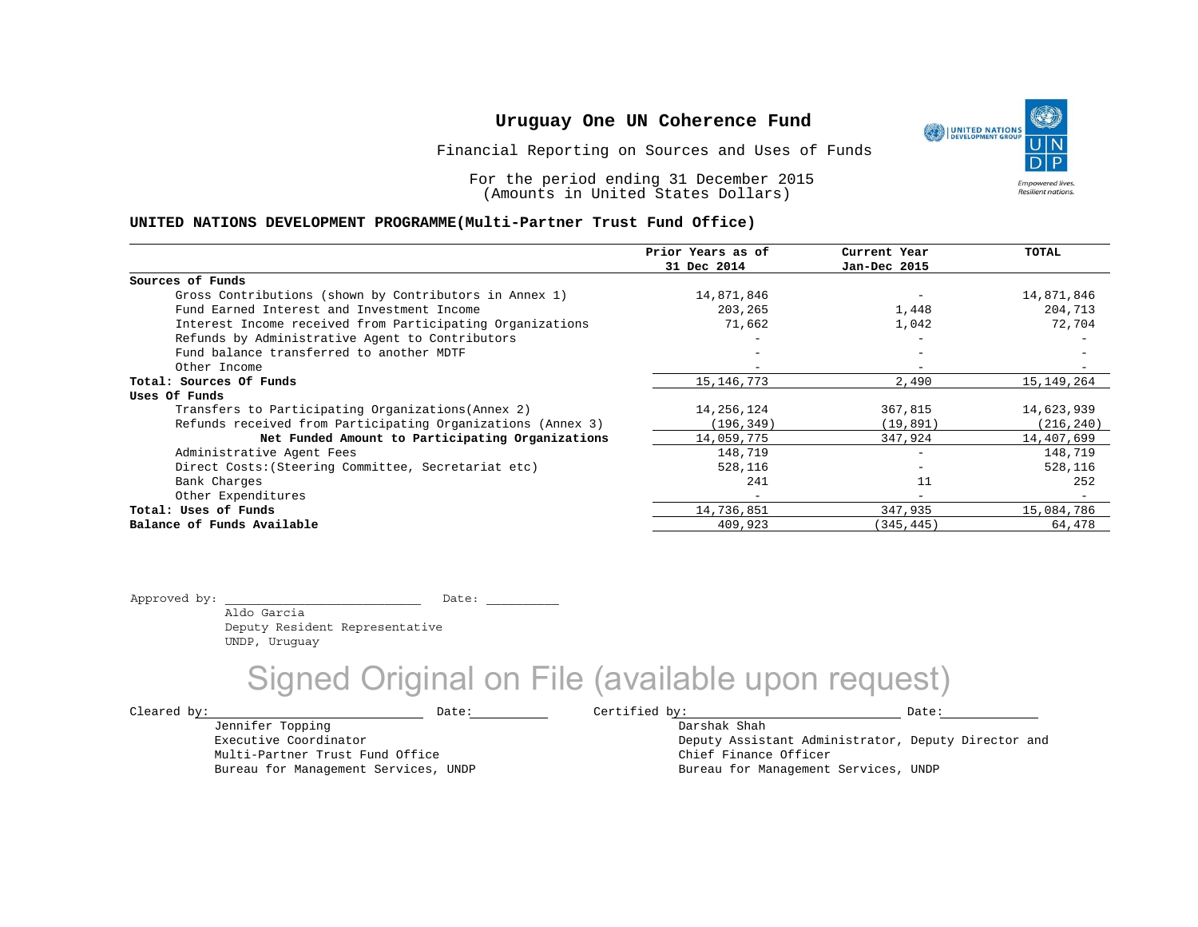Financial Reporting on Sources and Uses of Funds

For the period ending 31 December 2015 (Amounts in United States Dollars)

### **UNITED NATIONS DEVELOPMENT PROGRAMME(Multi-Partner Trust Fund Office)**

|                                                             | Prior Years as of        | Current Year             | TOTAL        |
|-------------------------------------------------------------|--------------------------|--------------------------|--------------|
|                                                             | 31 Dec 2014              | Jan-Dec 2015             |              |
| Sources of Funds                                            |                          |                          |              |
| Gross Contributions (shown by Contributors in Annex 1)      | 14,871,846               |                          | 14,871,846   |
| Fund Earned Interest and Investment Income                  | 203,265                  | 1,448                    | 204,713      |
| Interest Income received from Participating Organizations   | 71,662                   | 1,042                    | 72,704       |
| Refunds by Administrative Agent to Contributors             |                          | $\overline{\phantom{m}}$ |              |
| Fund balance transferred to another MDTF                    |                          |                          |              |
| Other Income                                                |                          | $\overline{\phantom{0}}$ |              |
| Total: Sources Of Funds                                     | 15, 146, 773             | 2,490                    | 15, 149, 264 |
| Uses Of Funds                                               |                          |                          |              |
| Transfers to Participating Organizations (Annex 2)          | 14,256,124               | 367,815                  | 14,623,939   |
| Refunds received from Participating Organizations (Annex 3) | (196, 349)               | (19, 891)                | (216, 240)   |
| Net Funded Amount to Participating Organizations            | 14,059,775               | 347,924                  | 14,407,699   |
| Administrative Agent Fees                                   | 148,719                  | $\overline{\phantom{0}}$ | 148,719      |
| Direct Costs: (Steering Committee, Secretariat etc)         | 528,116                  |                          | 528,116      |
| Bank Charges                                                | 241                      | 11                       | 252          |
| Other Expenditures                                          | $\overline{\phantom{0}}$ | $\overline{\phantom{0}}$ |              |
| Total: Uses of Funds                                        | 14,736,851               | 347,935                  | 15,084,786   |
| Balance of Funds Available                                  | 409,923                  | (345, 445)               | 64,478       |

Approved by: \_\_\_\_\_\_\_\_\_\_\_\_\_\_\_\_\_\_\_\_\_\_\_\_\_\_\_ Date: \_\_\_\_\_\_\_\_\_\_

 Aldo Garcia Deputy Resident Representative UNDP, Uruguay

Multi-Partner Trust Fund Office Bureau for Management Services, UNDP

Jennifer Topping Executive Coordinator

Signed Original on File (available upon request)

 $\texttt{Cleared by:}\footnotesize \begin{minipage}{0.9\linewidth} \texttt{Date:}\footnotesize \begin{minipage}{0.9\linewidth} \texttt{Date:}\footnotesize \begin{minipage}{0.9\linewidth} \end{minipage} \end{minipage}$ 

Darshak Shah Deputy Assistant Administrator, Deputy Director and Chief Finance Officer Bureau for Management Services, UNDP

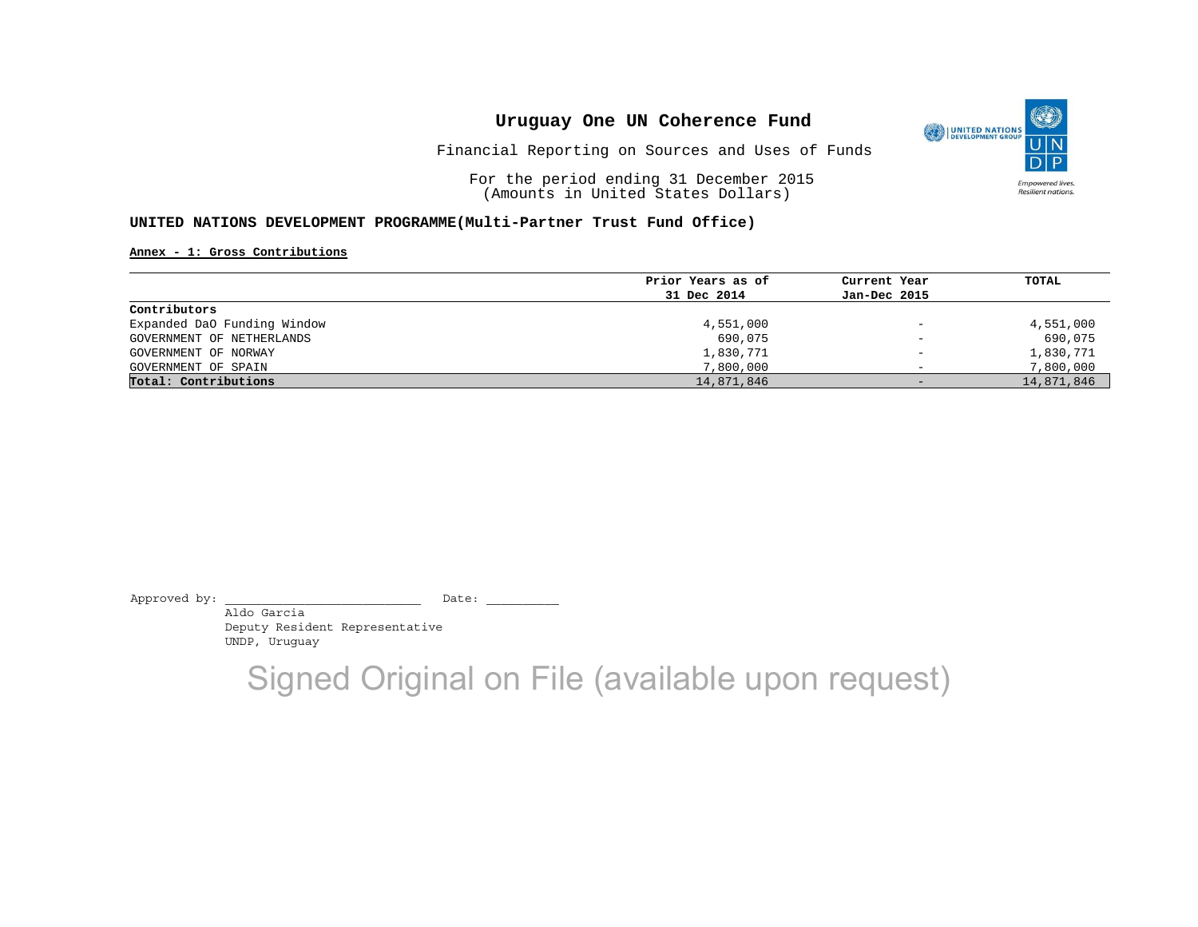

Financial Reporting on Sources and Uses of Funds

For the period ending 31 December 2015 (Amounts in United States Dollars)

#### **UNITED NATIONS DEVELOPMENT PROGRAMME(Multi-Partner Trust Fund Office)**

**Annex - 1: Gross Contributions**

| Prior Years as of | Current Year                 | TOTAL      |
|-------------------|------------------------------|------------|
| 31 Dec 2014       | Jan-Dec 2015                 |            |
|                   |                              |            |
| 4,551,000         | $\overline{\phantom{0}}$     | 4,551,000  |
| 690,075           | $\qquad \qquad \blacksquare$ | 690,075    |
| 1,830,771         | $\overline{\phantom{0}}$     | 1,830,771  |
| 7,800,000         | $\overline{\phantom{0}}$     | 7,800,000  |
| 14,871,846        | $-$                          | 14,871,846 |
|                   |                              |            |

Approved by: \_\_\_\_\_\_\_\_\_\_\_\_\_\_\_\_\_\_\_\_\_\_\_\_\_\_\_ Date: \_\_\_\_\_\_\_\_\_\_

 Aldo Garcia Deputy Resident Representative UNDP, Uruguay

Signed Original on File (available upon request)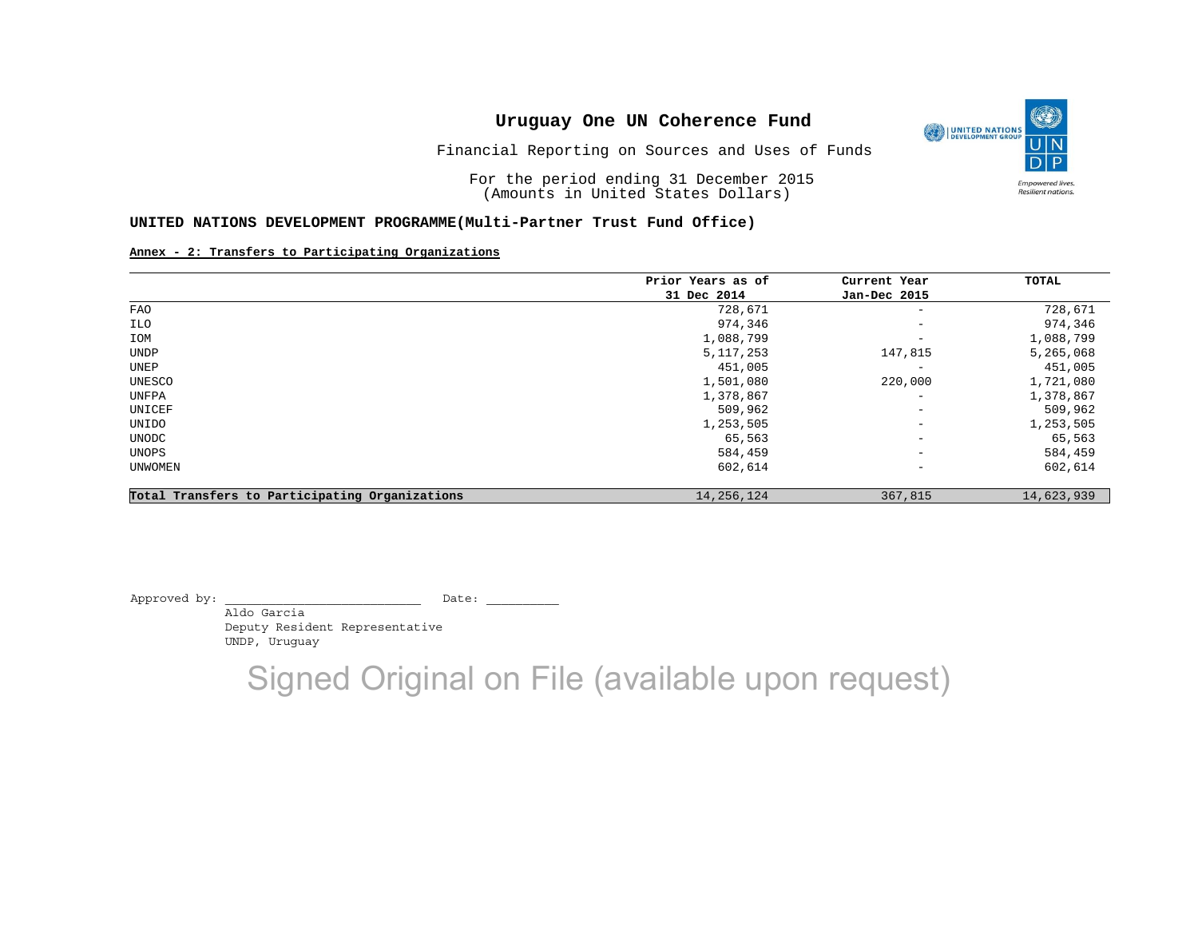

Financial Reporting on Sources and Uses of Funds

For the period ending 31 December 2015 (Amounts in United States Dollars)

### **UNITED NATIONS DEVELOPMENT PROGRAMME(Multi-Partner Trust Fund Office)**

### **Annex - 2: Transfers to Participating Organizations**

|                                                | Prior Years as of | Current Year             | TOTAL      |
|------------------------------------------------|-------------------|--------------------------|------------|
|                                                | 31 Dec 2014       | Jan-Dec 2015             |            |
| FAO                                            | 728,671           | $\overline{\phantom{a}}$ | 728,671    |
| ILO                                            | 974,346           | $\qquad \qquad -$        | 974,346    |
| IOM                                            | 1,088,799         | $\overline{\phantom{a}}$ | 1,088,799  |
| UNDP                                           | 5, 117, 253       | 147,815                  | 5,265,068  |
| UNEP                                           | 451,005           | $\overline{\phantom{0}}$ | 451,005    |
| UNESCO                                         | 1,501,080         | 220,000                  | 1,721,080  |
| UNFPA                                          | 1,378,867         | $\overline{\phantom{a}}$ | 1,378,867  |
| UNICEF                                         | 509,962           | $\qquad \qquad -$        | 509,962    |
| UNIDO                                          | 1,253,505         | $\overline{\phantom{a}}$ | 1,253,505  |
| UNODC                                          | 65,563            | $\qquad \qquad -$        | 65,563     |
| UNOPS                                          | 584,459           | $\overline{\phantom{a}}$ | 584,459    |
| UNWOMEN                                        | 602,614           | $\qquad \qquad -$        | 602,614    |
| Total Transfers to Participating Organizations | 14, 256, 124      | 367,815                  | 14,623,939 |

Approved by: \_\_\_\_\_\_\_\_\_\_\_\_\_\_\_\_\_\_\_\_\_\_\_\_\_\_\_ Date: \_\_\_\_\_\_\_\_\_\_

 Aldo Garcia Deputy Resident Representative UNDP, Uruguay

Signed Original on File (available upon request)